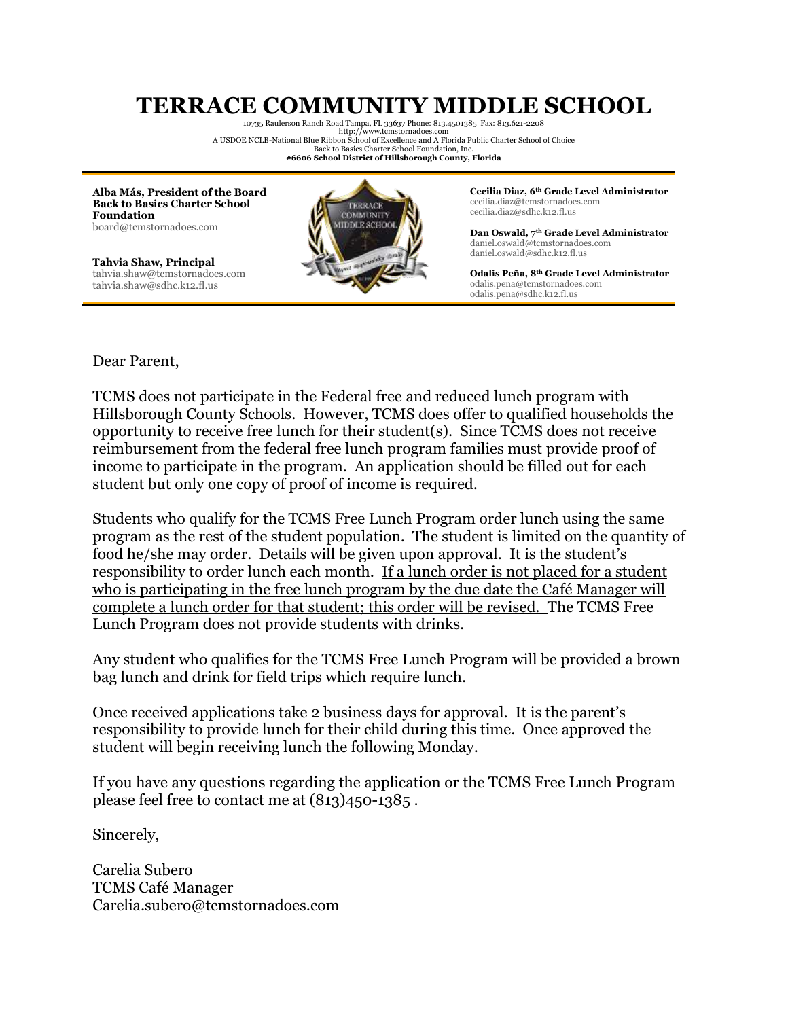## **TERRACE COMMUNITY MIDDLE SCHOOL** 10735 Raulerson Ranch Road Tampa, FL 33637 Phone: 813.4501385 Fax: 813.621-2208

http:/[/www.tcmstornadoes.com](http://www.tcstornadoes.com/) A USDOE NCLB-National Blue Ribbon School of Excellence and A Florida Public Charter School of Choice Back to Basics Charter School Foundation, Inc. **#6606 School District of Hillsborough County, Florida**

**Alba Más, President of the Board Back to Basics Charter School Foundation** board@tcmstornadoes.com

**Tahvia Shaw, Principal** tahvia.shaw@tcmstornadoes.com tahvia.shaw@sdhc.k12.fl.us



**Cecilia Diaz, 6th Grade Level Administrator** cecilia.diaz@tcmstornadoes.com cecilia.diaz@sdhc.k12.fl.us

**Dan Oswald, 7th Grade Level Administrator** daniel.oswald@tcmstornadoes.com daniel.oswald@sdhc.k12.fl.us

**Odalis Peña, 8th Grade Level Administrator** odalis.pena@tcmstornadoes.com odalis.pena@sdhc.k12.fl.us

Dear Parent,

TCMS does not participate in the Federal free and reduced lunch program with Hillsborough County Schools. However, TCMS does offer to qualified households the opportunity to receive free lunch for their student(s). Since TCMS does not receive reimbursement from the federal free lunch program families must provide proof of income to participate in the program. An application should be filled out for each student but only one copy of proof of income is required.

Students who qualify for the TCMS Free Lunch Program order lunch using the same program as the rest of the student population. The student is limited on the quantity of food he/she may order. Details will be given upon approval. It is the student's responsibility to order lunch each month. If a lunch order is not placed for a student who is participating in the free lunch program by the due date the Café Manager will complete a lunch order for that student; this order will be revised. The TCMS Free Lunch Program does not provide students with drinks.

Any student who qualifies for the TCMS Free Lunch Program will be provided a brown bag lunch and drink for field trips which require lunch.

Once received applications take 2 business days for approval. It is the parent's responsibility to provide lunch for their child during this time. Once approved the student will begin receiving lunch the following Monday.

If you have any questions regarding the application or the TCMS Free Lunch Program please feel free to contact me at (813)450-1385 .

Sincerely,

Carelia Subero TCMS Café Manager Carelia.subero@tcmstornadoes.com